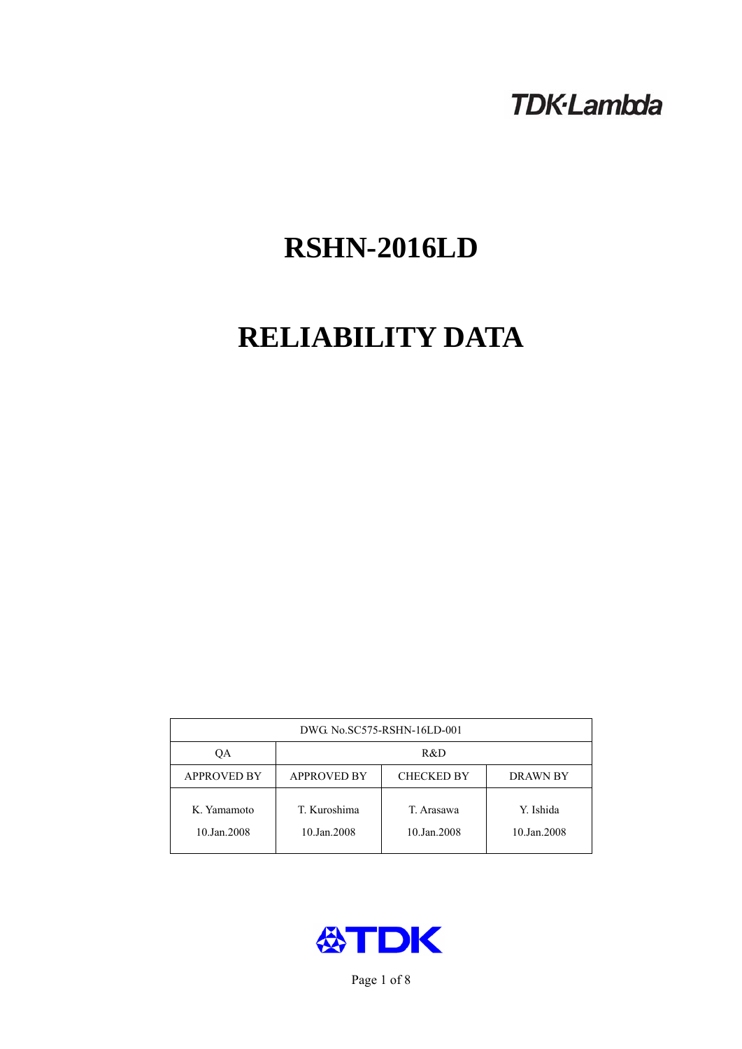# **TDK-Lambda**

# **RSHN-2016LD**

# **RELIABILITY DATA**

| DWG. No.SC575-RSHN-16LD-001 |                                                     |                           |                          |  |  |
|-----------------------------|-----------------------------------------------------|---------------------------|--------------------------|--|--|
| OА                          | R&D                                                 |                           |                          |  |  |
| <b>APPROVED BY</b>          | <b>APPROVED BY</b><br><b>CHECKED BY</b><br>DRAWN BY |                           |                          |  |  |
| K. Yamamoto<br>10.Jan.2008  | T. Kuroshima<br>10.Jan.2008                         | T. Arasawa<br>10.Jan.2008 | Y. Ishida<br>10.Jan.2008 |  |  |



Page 1 of 8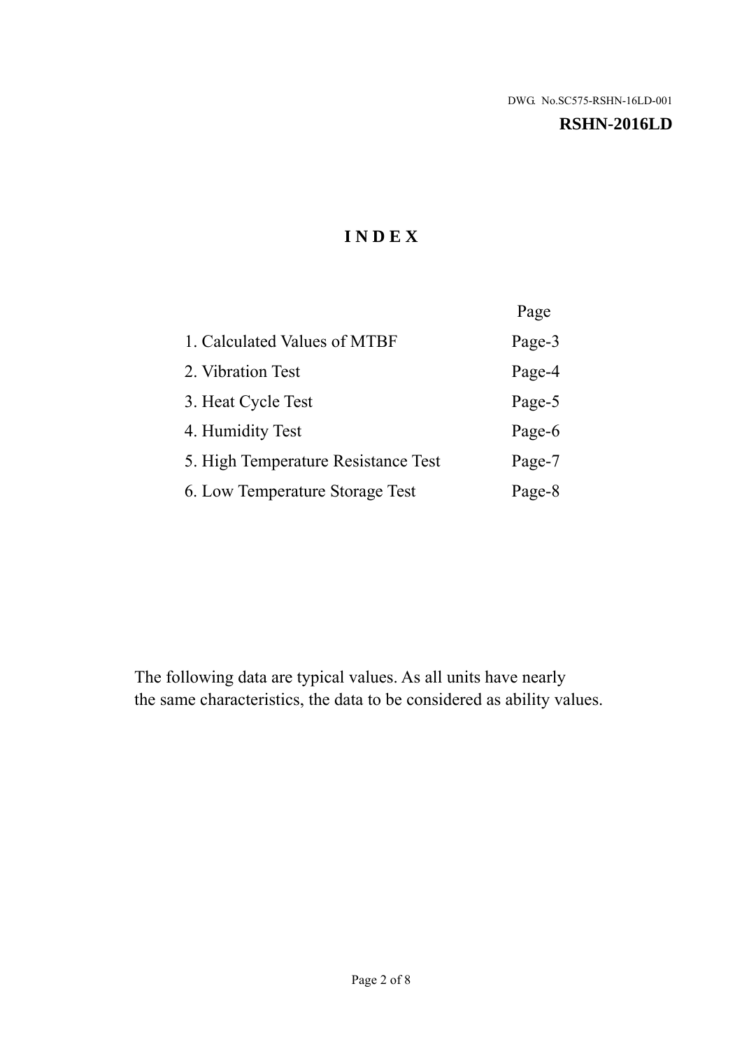### **RSHN-2016LD**

# **I N D E X**

|                                     | Page   |
|-------------------------------------|--------|
| 1. Calculated Values of MTBF        | Page-3 |
| 2. Vibration Test                   | Page-4 |
| 3. Heat Cycle Test                  | Page-5 |
| 4. Humidity Test                    | Page-6 |
| 5. High Temperature Resistance Test | Page-7 |
| 6. Low Temperature Storage Test     | Page-8 |

The following data are typical values. As all units have nearly the same characteristics, the data to be considered as ability values.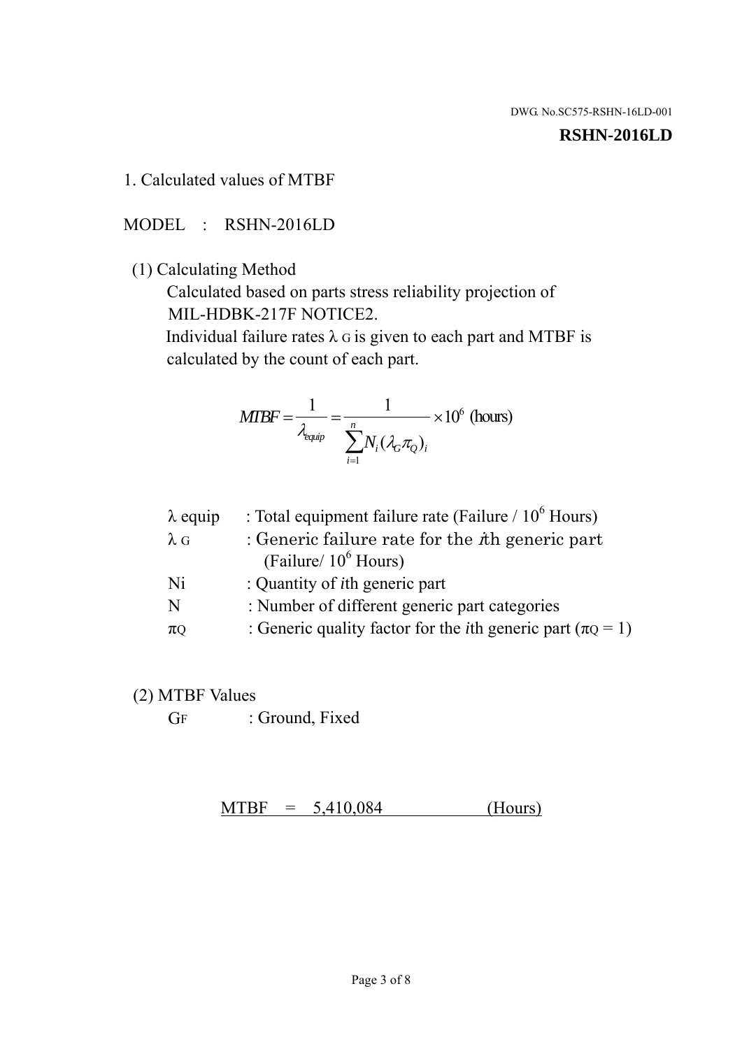#### **RSHN-2016LD**

## 1. Calculated values of MTBF

## MODEL : RSHN-2016LD

## (1) Calculating Method

 Calculated based on parts stress reliability projection of MIL-HDBK-217F NOTICE2.

Individual failure rates  $\lambda$  G is given to each part and MTBF is calculated by the count of each part.

$$
MTBF = \frac{1}{\lambda_{\text{equip}}} = \frac{1}{\sum_{i=1}^{n} N_i (\lambda_G \pi_Q)_i} \times 10^6 \text{ (hours)}
$$

| : Total equipment failure rate (Failure / $10^6$ Hours)                   |
|---------------------------------------------------------------------------|
| : Generic failure rate for the $\hbar$ generic part                       |
| (Failure/ $10^6$ Hours)                                                   |
| : Quantity of <i>i</i> th generic part                                    |
| : Number of different generic part categories                             |
| : Generic quality factor for the <i>i</i> th generic part ( $\pi Q = 1$ ) |
|                                                                           |

## (2) MTBF Values

GF : Ground, Fixed

 $MTBF = 5,410,084$  (Hours)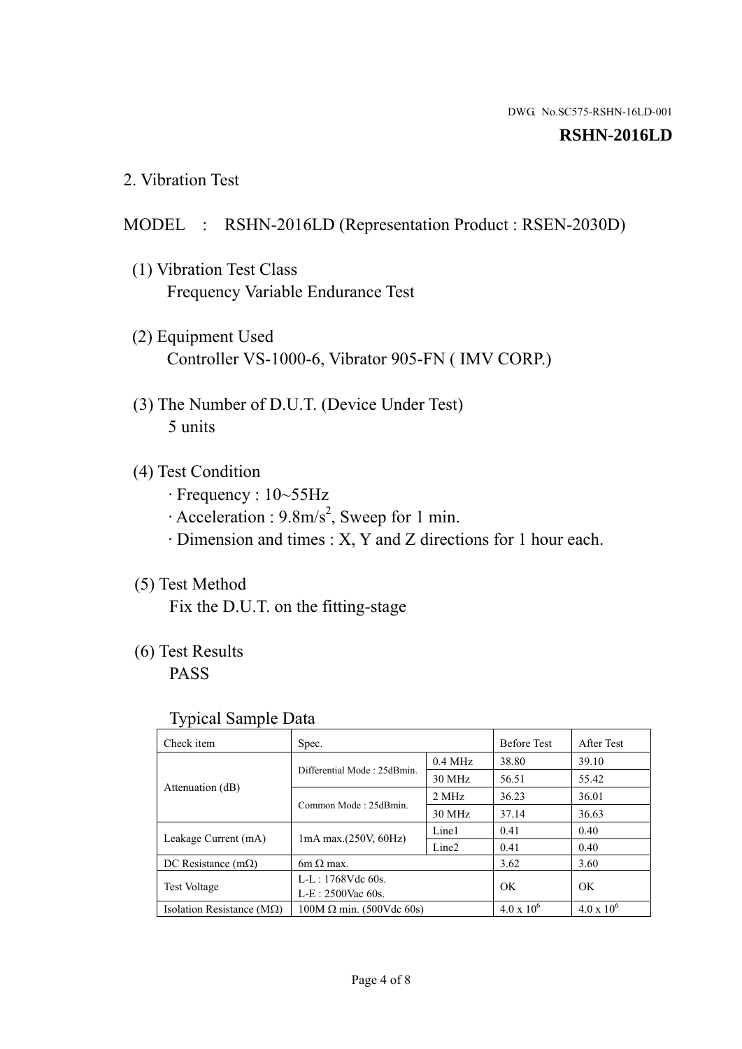### **RSHN-2016LD**

2. Vibration Test

## MODEL : RSHN-2016LD (Representation Product : RSEN-2030D)

- (1) Vibration Test Class Frequency Variable Endurance Test
- (2) Equipment Used Controller VS-1000-6, Vibrator 905-FN ( IMV CORP.)
- (3) The Number of D.U.T. (Device Under Test) 5 units
- (4) Test Condition
	- · Frequency : 10~55Hz
	- $\cdot$  Acceleration : 9.8m/s<sup>2</sup>, Sweep for 1 min.
	- · Dimension and times : X, Y and Z directions for 1 hour each.

# (5) Test Method

Fix the D.U.T. on the fitting-stage

# (6) Test Results

PASS

## Typical Sample Data

| . .                           |                                 |                   |                     |                     |
|-------------------------------|---------------------------------|-------------------|---------------------|---------------------|
| Check item                    | Spec.                           |                   | <b>Before Test</b>  | After Test          |
| Attenuation (dB)              | Differential Mode: 25dBmin.     | $0.4$ MHz         | 38.80               | 39.10               |
|                               |                                 | 30 MHz            | 56.51               | 55.42               |
|                               | Common Mode: 25dBmin.           | 2 MHz             | 36.23               | 36.01               |
|                               |                                 | 30 MHz            | 37.14               | 36.63               |
| Leakage Current (mA)          | $1mA$ max. $(250V, 60Hz)$       | Line1             | 0.41                | 0.40                |
|                               |                                 | Line <sub>2</sub> | 0.41                | 0.40                |
| DC Resistance $(m\Omega)$     | $6m \Omega$ max.                |                   | 3.62                | 3.60                |
| <b>Test Voltage</b>           | $L-L: 1768Vdc$ 60s.             |                   | OK                  | OK.                 |
|                               | $L-E$ : 2500Vac 60s.            |                   |                     |                     |
| Isolation Resistance ( $MQ$ ) | $100M \Omega$ min. (500Vdc 60s) |                   | $4.0 \times 10^{6}$ | $4.0 \times 10^{6}$ |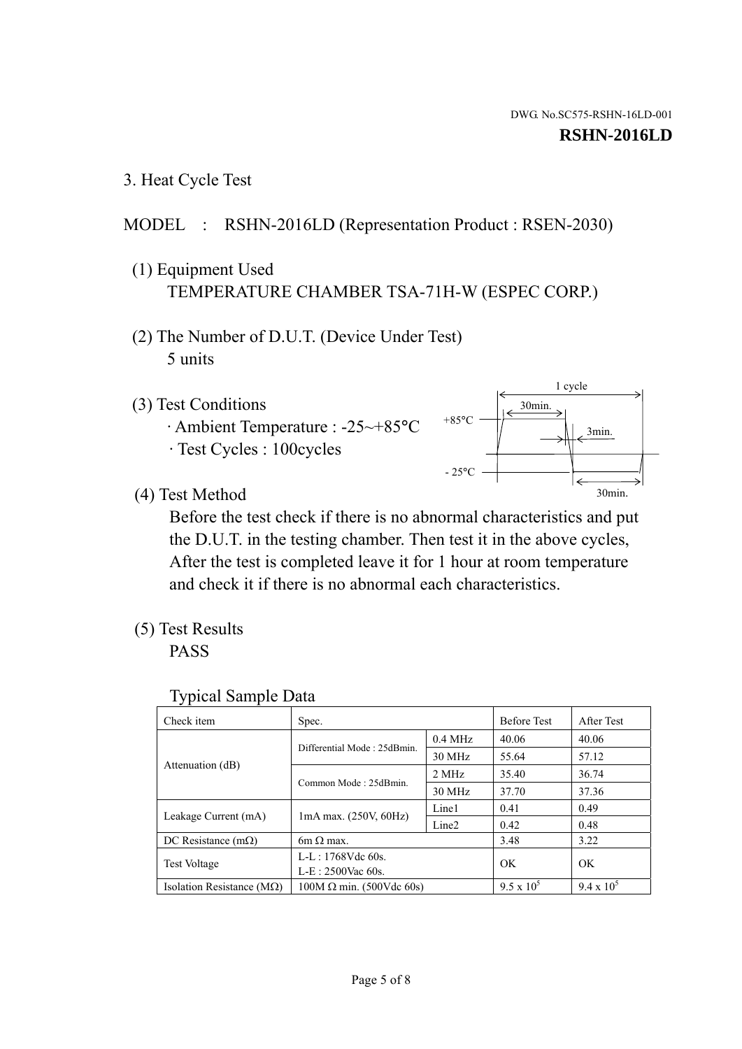1 cycle

30min.

3min.

30min.

3. Heat Cycle Test

## MODEL : RSHN-2016LD (Representation Product : RSEN-2030)

- (1) Equipment Used TEMPERATURE CHAMBER TSA-71H-W (ESPEC CORP.)
- (2) The Number of D.U.T. (Device Under Test) 5 units
- (3) Test Conditions
	- · Ambient Temperature : -25~+85°C · Test Cycles : 100cycles
- (4) Test Method

 Before the test check if there is no abnormal characteristics and put the D.U.T. in the testing chamber. Then test it in the above cycles, After the test is completed leave it for 1 hour at room temperature and check it if there is no abnormal each characteristics.

 $+85$ °C

 $-25$ °C

(5) Test Results

PASS

| <b>Typical Sample Data</b> |  |  |
|----------------------------|--|--|
|----------------------------|--|--|

| Check item                    | Spec.                           |                   | <b>Before Test</b> | After Test        |
|-------------------------------|---------------------------------|-------------------|--------------------|-------------------|
|                               | Differential Mode: 25dBmin.     | $0.4$ MHz         | 40.06              | 40.06             |
|                               |                                 | 30 MHz            | 55.64              | 57.12             |
| Attenuation (dB)              | Common Mode: 25dBmin.           | 2 MHz             | 35.40              | 36.74             |
|                               |                                 | 30 MHz            | 37.70              | 37.36             |
| Leakage Current (mA)          | 1mA max. (250V, 60Hz)           | Line1             | 0.41               | 0.49              |
|                               |                                 | Line <sub>2</sub> | 0.42               | 0.48              |
| DC Resistance $(m\Omega)$     | $6m \Omega$ max.                |                   | 3.48               | 3.22              |
| <b>Test Voltage</b>           | $L-L: 1768Vdc$ 60s.             |                   | OK                 | OK.               |
|                               | L-E: 2500Vac 60s.               |                   |                    |                   |
| Isolation Resistance ( $MQ$ ) | $100M \Omega$ min. (500Vdc 60s) |                   | $9.5 \times 10^5$  | $9.4 \times 10^5$ |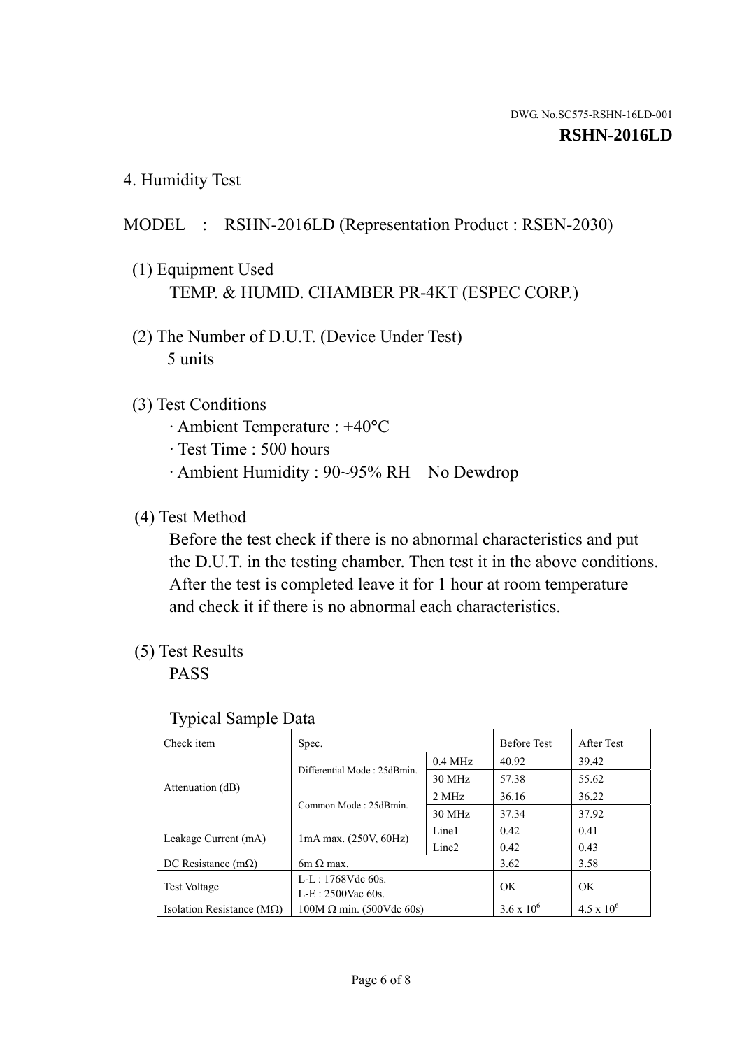4. Humidity Test

## MODEL : RSHN-2016LD (Representation Product : RSEN-2030)

- (1) Equipment Used TEMP. & HUMID. CHAMBER PR-4KT (ESPEC CORP.)
- (2) The Number of D.U.T. (Device Under Test) 5 units

## (3) Test Conditions

- · Ambient Temperature : +40°C
- · Test Time : 500 hours
- · Ambient Humidity : 90~95% RH No Dewdrop

## (4) Test Method

 Before the test check if there is no abnormal characteristics and put the D.U.T. in the testing chamber. Then test it in the above conditions. After the test is completed leave it for 1 hour at room temperature and check it if there is no abnormal each characteristics.

## (5) Test Results

PASS

| . .                                |                                 |                   |                     |                     |
|------------------------------------|---------------------------------|-------------------|---------------------|---------------------|
| Check item                         | Spec.                           |                   | <b>Before Test</b>  | After Test          |
| Attenuation (dB)                   | Differential Mode: 25dBmin.     | $0.4$ MHz         | 40.92               | 39.42               |
|                                    |                                 | 30 MHz            | 57.38               | 55.62               |
|                                    | Common Mode: 25dBmin.           | 2 MHz             | 36.16               | 36.22               |
|                                    |                                 | 30 MHz            | 37.34               | 37.92               |
| Leakage Current (mA)               | $1mA$ max. $(250V, 60Hz)$       | Line1             | 0.42                | 0.41                |
|                                    |                                 | Line <sub>2</sub> | 0.42                | 0.43                |
| DC Resistance $(m\Omega)$          | $6m \Omega$ max.                |                   | 3.62                | 3.58                |
| <b>Test Voltage</b>                | $L-L: 1768Vdc$ 60s.             |                   | OK                  | OK                  |
|                                    | $L-E: 2500$ Vac 60s.            |                   |                     |                     |
| Isolation Resistance ( $M\Omega$ ) | $100M \Omega$ min. (500Vdc 60s) |                   | $3.6 \times 10^{6}$ | $4.5 \times 10^{6}$ |

#### Typical Sample Data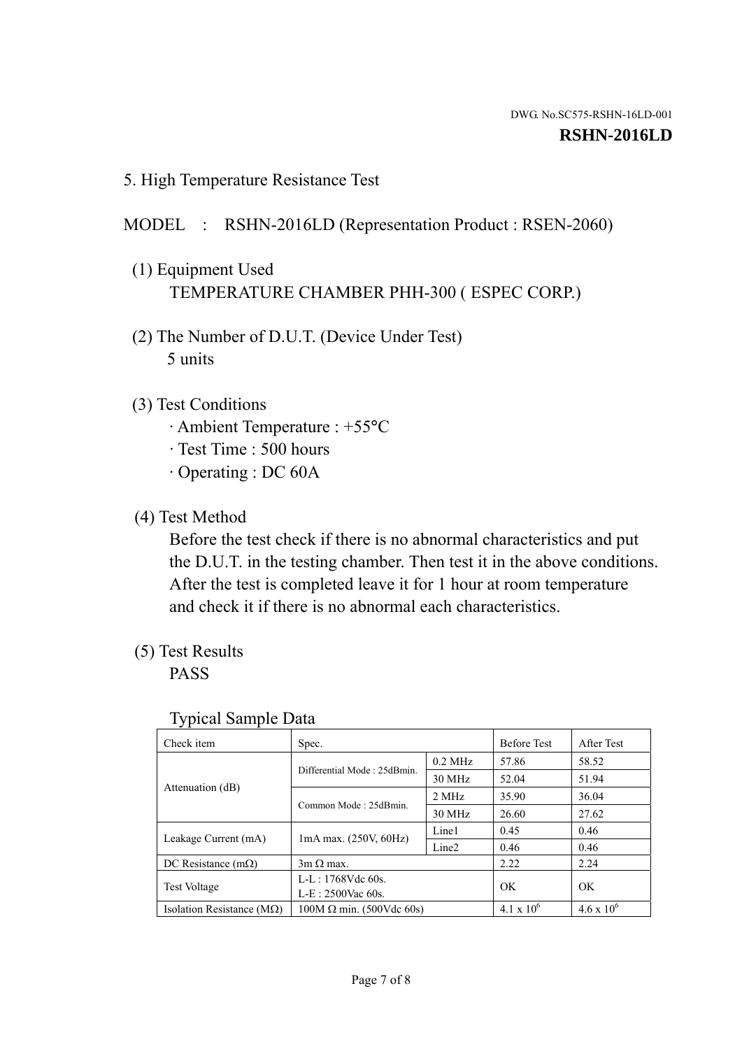5. High Temperature Resistance Test

## MODEL : RSHN-2016LD (Representation Product : RSEN-2060)

- (1) Equipment Used TEMPERATURE CHAMBER PHH-300 ( ESPEC CORP.)
- (2) The Number of D.U.T. (Device Under Test) 5 units
- (3) Test Conditions
	- · Ambient Temperature : +55°C
	- · Test Time : 500 hours
	- · Operating : DC 60A
- (4) Test Method

 Before the test check if there is no abnormal characteristics and put the D.U.T. in the testing chamber. Then test it in the above conditions. After the test is completed leave it for 1 hour at room temperature and check it if there is no abnormal each characteristics.

(5) Test Results

PASS

| J 1                                |                                 |                   |                     |                     |
|------------------------------------|---------------------------------|-------------------|---------------------|---------------------|
| Check item                         | Spec.                           |                   | <b>Before Test</b>  | After Test          |
|                                    | Differential Mode: 25dBmin.     | $0.2$ MHz         | 57.86               | 58.52               |
|                                    |                                 | 30 MHz            | 52.04               | 51.94               |
| Attenuation (dB)                   | Common Mode: 25dBmin.           | 2 MHz             | 35.90               | 36.04               |
|                                    |                                 | 30 MHz            | 26.60               | 27.62               |
| Leakage Current (mA)               | $1mA$ max. $(250V, 60Hz)$       | Line1             | 0.45                | 0.46                |
|                                    |                                 | Line <sub>2</sub> | 0.46                | 0.46                |
| DC Resistance $(m\Omega)$          | $3m \Omega$ max.                |                   | 2.22                | 2.24                |
| <b>Test Voltage</b>                | $L-L: 1768Vdc$ 60s.             |                   | OK                  |                     |
|                                    | $L-E: 2500$ Vac 60s.            |                   |                     | OK                  |
| Isolation Resistance ( $M\Omega$ ) | $100M \Omega$ min. (500Vdc 60s) |                   | $4.1 \times 10^{6}$ | $4.6 \times 10^{6}$ |

## Typical Sample Data